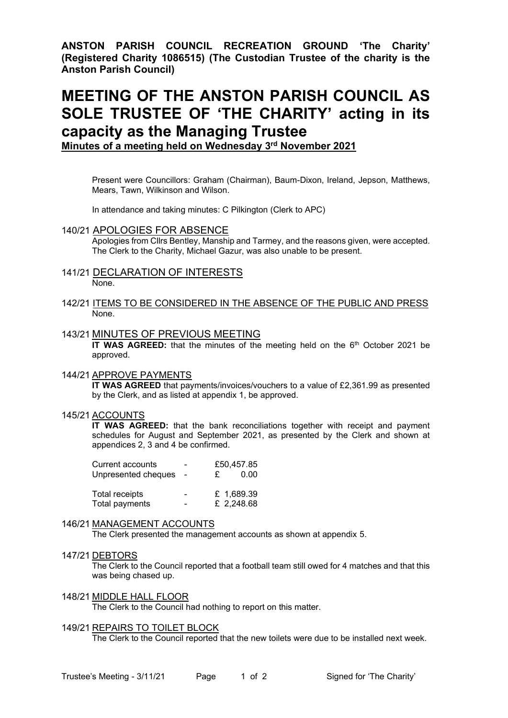**ANSTON PARISH COUNCIL RECREATION GROUND 'The Charity' (Registered Charity 1086515) (The Custodian Trustee of the charity is the Anston Parish Council)**

# **MEETING OF THE ANSTON PARISH COUNCIL AS SOLE TRUSTEE OF 'THE CHARITY' acting in its capacity as the Managing Trustee**

**Minutes of a meeting held on Wednesday 3 rd November 2021**

Present were Councillors: Graham (Chairman), Baum-Dixon, Ireland, Jepson, Matthews, Mears, Tawn, Wilkinson and Wilson.

In attendance and taking minutes: C Pilkington (Clerk to APC)

### 140/21 APOLOGIES FOR ABSENCE

Apologies from Cllrs Bentley, Manship and Tarmey, and the reasons given, were accepted. The Clerk to the Charity, Michael Gazur, was also unable to be present.

- 141/21 DECLARATION OF INTERESTS None.
- 142/21 ITEMS TO BE CONSIDERED IN THE ABSENCE OF THE PUBLIC AND PRESS None.

#### 143/21 MINUTES OF PREVIOUS MEETING

**IT WAS AGREED:** that the minutes of the meeting held on the 6<sup>th</sup> October 2021 be approved.

#### 144/21 APPROVE PAYMENTS

**IT WAS AGREED** that payments/invoices/vouchers to a value of £2,361.99 as presented by the Clerk, and as listed at appendix 1, be approved.

### 145/21 ACCOUNTS

**IT WAS AGREED:** that the bank reconciliations together with receipt and payment schedules for August and September 2021, as presented by the Clerk and shown at appendices 2, 3 and 4 be confirmed.

| Current accounts    |                          |            | £50,457.85 |  |
|---------------------|--------------------------|------------|------------|--|
| Unpresented cheques |                          | £          | 0.00       |  |
| Total receipts      | $\overline{\phantom{0}}$ | £ 1,689.39 |            |  |
| Total payments      |                          | £ 2,248.68 |            |  |

#### 146/21 MANAGEMENT ACCOUNTS

The Clerk presented the management accounts as shown at appendix 5.

#### 147/21 DEBTORS

The Clerk to the Council reported that a football team still owed for 4 matches and that this was being chased up.

148/21 MIDDLE HALL FLOOR

The Clerk to the Council had nothing to report on this matter.

#### 149/21 REPAIRS TO TOILET BLOCK

The Clerk to the Council reported that the new toilets were due to be installed next week.